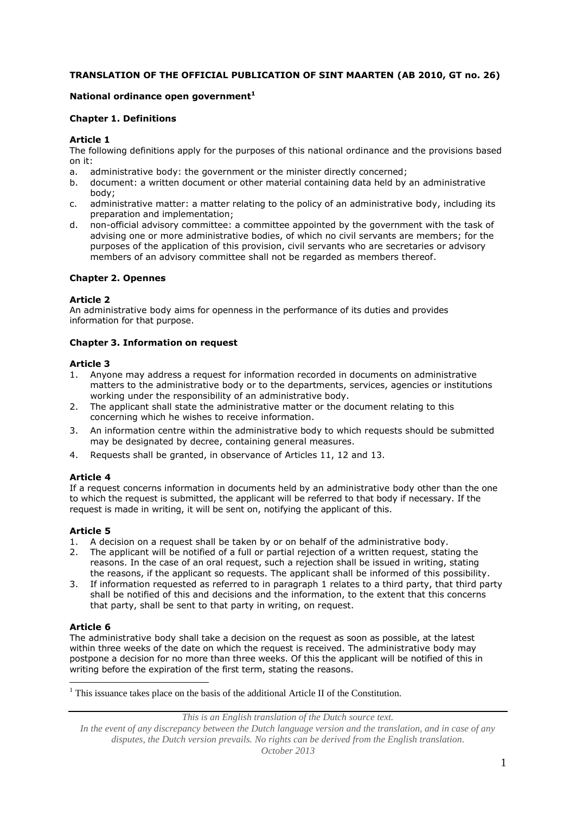# **TRANSLATION OF THE OFFICIAL PUBLICATION OF SINT MAARTEN (AB 2010, GT no. 26)**

### **National ordinance open government<sup>1</sup>**

### **Chapter 1. Definitions**

### **Article 1**

The following definitions apply for the purposes of this national ordinance and the provisions based on it:

- a. administrative body: the government or the minister directly concerned;
- b. document: a written document or other material containing data held by an administrative body;
- c. administrative matter: a matter relating to the policy of an administrative body, including its preparation and implementation;
- d. non-official advisory committee: a committee appointed by the government with the task of advising one or more administrative bodies, of which no civil servants are members; for the purposes of the application of this provision, civil servants who are secretaries or advisory members of an advisory committee shall not be regarded as members thereof.

#### **Chapter 2. Opennes**

#### **Article 2**

An administrative body aims for openness in the performance of its duties and provides information for that purpose.

### **Chapter 3. Information on request**

#### **Article 3**

- 1. Anyone may address a request for information recorded in documents on administrative matters to the administrative body or to the departments, services, agencies or institutions working under the responsibility of an administrative body.
- 2. The applicant shall state the administrative matter or the document relating to this concerning which he wishes to receive information.
- 3. An information centre within the administrative body to which requests should be submitted may be designated by decree, containing general measures.
- 4. Requests shall be granted, in observance of Articles 11, 12 and 13.

#### **Article 4**

If a request concerns information in documents held by an administrative body other than the one to which the request is submitted, the applicant will be referred to that body if necessary. If the request is made in writing, it will be sent on, notifying the applicant of this.

#### **Article 5**

- 1. A decision on a request shall be taken by or on behalf of the administrative body.
- 2. The applicant will be notified of a full or partial rejection of a written request, stating the reasons. In the case of an oral request, such a rejection shall be issued in writing, stating the reasons, if the applicant so requests. The applicant shall be informed of this possibility.
- 3. If information requested as referred to in paragraph 1 relates to a third party, that third party shall be notified of this and decisions and the information, to the extent that this concerns that party, shall be sent to that party in writing, on request.

#### **Article 6**

1

The administrative body shall take a decision on the request as soon as possible, at the latest within three weeks of the date on which the request is received. The administrative body may postpone a decision for no more than three weeks. Of this the applicant will be notified of this in writing before the expiration of the first term, stating the reasons.

 $<sup>1</sup>$  This issuance takes place on the basis of the additional Article II of the Constitution.</sup>

*This is an English translation of the Dutch source text.*

*In the event of any discrepancy between the Dutch language version and the translation, and in case of any disputes, the Dutch version prevails. No rights can be derived from the English translation. October 2013*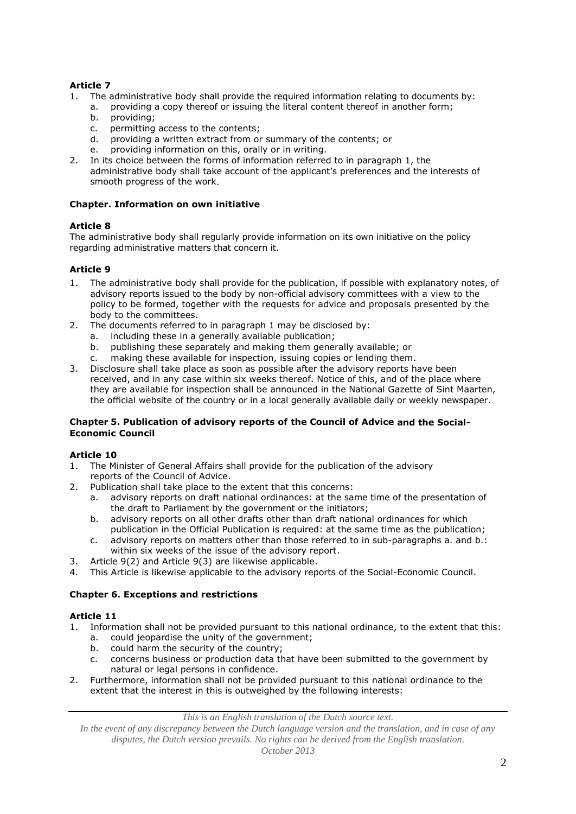# **Article 7**

- 1. The administrative body shall provide the required information relating to documents by:
	- a. providing a copy thereof or issuing the literal content thereof in another form;
	- b. providing;
	- c. permitting access to the contents;
	- d. providing a written extract from or summary of the contents; or
	- e. providing information on this, orally or in writing.
- 2. In its choice between the forms of information referred to in paragraph 1, the administrative body shall take account of the applicant's preferences and the interests of smooth progress of the work.

### **Chapter. Information on own initiative**

# **Article 8**

The administrative body shall regularly provide information on its own initiative on the policy regarding administrative matters that concern it.

# **Article 9**

- 1. The administrative body shall provide for the publication, if possible with explanatory notes, of advisory reports issued to the body by non-official advisory committees with a view to the policy to be formed, together with the requests for advice and proposals presented by the body to the committees.
- 2. The documents referred to in paragraph 1 may be disclosed by:
	- including these in a generally available publication;
	- b. publishing these separately and making them generally available; or
	- c. making these available for inspection, issuing copies or lending them.
- 3. Disclosure shall take place as soon as possible after the advisory reports have been received, and in any case within six weeks thereof. Notice of this, and of the place where they are available for inspection shall be announced in the National Gazette of Sint Maarten, the official website of the country or in a local generally available daily or weekly newspaper.

#### **Chapter 5. Publication of advisory reports of the Council of Advice and the Social-Economic Council**

# **Article 10**

- 1. The Minister of General Affairs shall provide for the publication of the advisory reports of the Council of Advice.
- 2. Publication shall take place to the extent that this concerns:
	- a. advisory reports on draft national ordinances: at the same time of the presentation of the draft to Parliament by the government or the initiators;
	- b. advisory reports on all other drafts other than draft national ordinances for which publication in the Official Publication is required: at the same time as the publication;
	- c. advisory reports on matters other than those referred to in sub-paragraphs a. and b.: within six weeks of the issue of the advisory report.
- 3. Article 9(2) and Article 9(3) are likewise applicable.
- 4. This Article is likewise applicable to the advisory reports of the Social-Economic Council.

# **Chapter 6. Exceptions and restrictions**

#### **Article 11**

- 1. Information shall not be provided pursuant to this national ordinance, to the extent that this:
	- a. could jeopardise the unity of the government;
	- b. could harm the security of the country;
	- c. concerns business or production data that have been submitted to the government by natural or legal persons in confidence.
- 2. Furthermore, information shall not be provided pursuant to this national ordinance to the extent that the interest in this is outweighed by the following interests:

*This is an English translation of the Dutch source text.*

*In the event of any discrepancy between the Dutch language version and the translation, and in case of any disputes, the Dutch version prevails. No rights can be derived from the English translation. October 2013*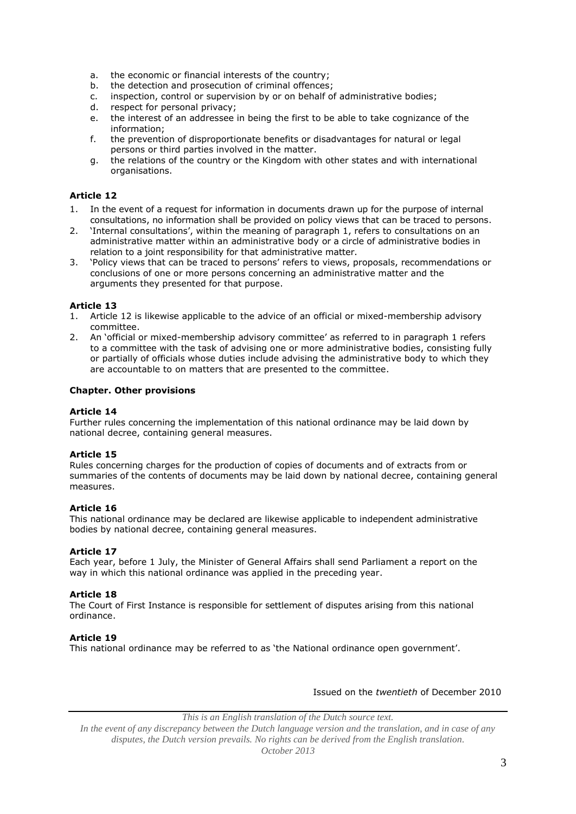- a. the economic or financial interests of the country;
- b. the detection and prosecution of criminal offences;
- c. inspection, control or supervision by or on behalf of administrative bodies;
- 
- d. respect for personal privacy;<br>e. the interest of an addressee the interest of an addressee in being the first to be able to take cognizance of the information;
- f. the prevention of disproportionate benefits or disadvantages for natural or legal persons or third parties involved in the matter.
- g. the relations of the country or the Kingdom with other states and with international organisations.

# **Article 12**

- 1. In the event of a request for information in documents drawn up for the purpose of internal consultations, no information shall be provided on policy views that can be traced to persons.
- 2. 'Internal consultations', within the meaning of paragraph 1, refers to consultations on an administrative matter within an administrative body or a circle of administrative bodies in relation to a joint responsibility for that administrative matter.
- 3. 'Policy views that can be traced to persons' refers to views, proposals, recommendations or conclusions of one or more persons concerning an administrative matter and the arguments they presented for that purpose.

# **Article 13**

- 1. Article 12 is likewise applicable to the advice of an official or mixed-membership advisory committee.
- 2. An 'official or mixed-membership advisory committee' as referred to in paragraph 1 refers to a committee with the task of advising one or more administrative bodies, consisting fully or partially of officials whose duties include advising the administrative body to which they are accountable to on matters that are presented to the committee.

### **Chapter. Other provisions**

### **Article 14**

Further rules concerning the implementation of this national ordinance may be laid down by national decree, containing general measures.

#### **Article 15**

Rules concerning charges for the production of copies of documents and of extracts from or summaries of the contents of documents may be laid down by national decree, containing general measures.

#### **Article 16**

This national ordinance may be declared are likewise applicable to independent administrative bodies by national decree, containing general measures.

#### **Article 17**

Each year, before 1 July, the Minister of General Affairs shall send Parliament a report on the way in which this national ordinance was applied in the preceding year.

#### **Article 18**

The Court of First Instance is responsible for settlement of disputes arising from this national ordinance.

#### **Article 19**

This national ordinance may be referred to as 'the National ordinance open government'.

#### Issued on the *twentieth* of December 2010

*This is an English translation of the Dutch source text.*

*In the event of any discrepancy between the Dutch language version and the translation, and in case of any disputes, the Dutch version prevails. No rights can be derived from the English translation. October 2013*